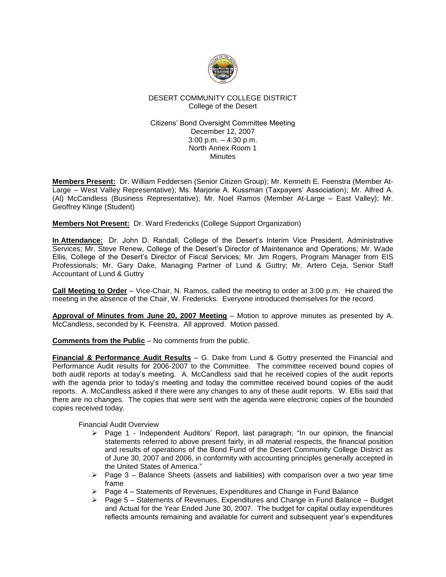

# DESERT COMMUNITY COLLEGE DISTRICT College of the Desert

# Citizens' Bond Oversight Committee Meeting December 12, 2007 3:00 p.m. – 4:30 p.m. North Annex Room 1 **Minutes**

**Members Present:** Dr. William Feddersen (Senior Citizen Group); Mr. Kenneth E. Feenstra (Member At-Large – West Valley Representative); Ms. Marjorie A. Kussman (Taxpayers' Association); Mr. Alfred A. (Al) McCandless (Business Representative); Mr. Noel Ramos (Member At-Large – East Valley); Mr. Geoffrey Klinge (Student)

**Members Not Present:** Dr. Ward Fredericks (College Support Organization)

**In Attendance:** Dr. John D. Randall, College of the Desert's Interim Vice President, Administrative Services; Mr. Steve Renew, College of the Desert's Director of Maintenance and Operations; Mr. Wade Ellis, College of the Desert's Director of Fiscal Services; Mr. Jim Rogers, Program Manager from EIS Professionals; Mr. Gary Dake, Managing Partner of Lund & Guttry; Mr. Artero Ceja, Senior Staff Accountant of Lund & Guttry

**Call Meeting to Order** – Vice-Chair, N. Ramos, called the meeting to order at 3:00 p.m. He chaired the meeting in the absence of the Chair, W. Fredericks. Everyone introduced themselves for the record.

**Approval of Minutes from June 20, 2007 Meeting** – Motion to approve minutes as presented by A. McCandless, seconded by K. Feenstra. All approved. Motion passed.

**Comments from the Public** – No comments from the public.

**Financial & Performance Audit Results** – G. Dake from Lund & Guttry presented the Financial and Performance Audit results for 2006-2007 to the Committee. The committee received bound copies of both audit reports at today's meeting. A. McCandless said that he received copies of the audit reports with the agenda prior to today's meeting and today the committee received bound copies of the audit reports. A. McCandless asked if there were any changes to any of these audit reports. W. Ellis said that there are no changes. The copies that were sent with the agenda were electronic copies of the bounded copies received today.

Financial Audit Overview

- $\triangleright$  Page 1 Independent Auditors' Report, last paragraph; "In our opinion, the financial statements referred to above present fairly, in all material respects, the financial position and results of operations of the Bond Fund of the Desert Community College District as of June 30, 2007 and 2006, in conformity with accounting principles generally accepted in the United States of America."
- $\triangleright$  Page 3 Balance Sheets (assets and liabilities) with comparison over a two year time frame
- ➢ Page 4 Statements of Revenues, Expenditures and Change in Fund Balance
- $\triangleright$  Page 5 Statements of Revenues, Expenditures and Change in Fund Balance Budget and Actual for the Year Ended June 30, 2007. The budget for capital outlay expenditures reflects amounts remaining and available for current and subsequent year's expenditures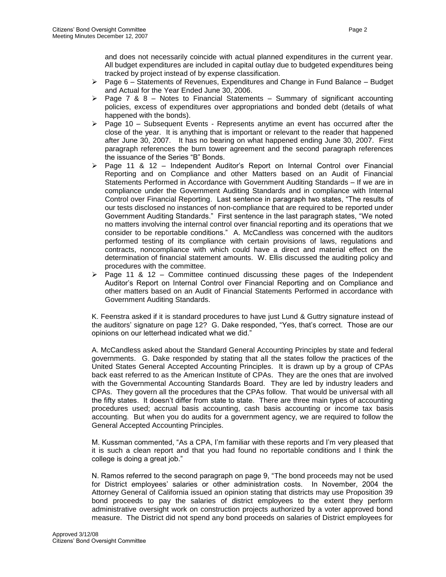and does not necessarily coincide with actual planned expenditures in the current year. All budget expenditures are included in capital outlay due to budgeted expenditures being tracked by project instead of by expense classification.

- $\triangleright$  Page 6 Statements of Revenues, Expenditures and Change in Fund Balance Budget and Actual for the Year Ended June 30, 2006.
- $\triangleright$  Page 7 & 8 Notes to Financial Statements Summary of significant accounting policies, excess of expenditures over appropriations and bonded debt (details of what happened with the bonds).
- $\triangleright$  Page 10 Subsequent Events Represents anytime an event has occurred after the close of the year. It is anything that is important or relevant to the reader that happened after June 30, 2007. It has no bearing on what happened ending June 30, 2007. First paragraph references the burn tower agreement and the second paragraph references the issuance of the Series "B" Bonds.
- $\triangleright$  Page 11 & 12 Independent Auditor's Report on Internal Control over Financial Reporting and on Compliance and other Matters based on an Audit of Financial Statements Performed in Accordance with Government Auditing Standards – If we are in compliance under the Government Auditing Standards and in compliance with Internal Control over Financial Reporting. Last sentence in paragraph two states, "The results of our tests disclosed no instances of non-compliance that are required to be reported under Government Auditing Standards." First sentence in the last paragraph states, "We noted no matters involving the internal control over financial reporting and its operations that we consider to be reportable conditions." A. McCandless was concerned with the auditors performed testing of its compliance with certain provisions of laws, regulations and contracts, noncompliance with which could have a direct and material effect on the determination of financial statement amounts. W. Ellis discussed the auditing policy and procedures with the committee.
- $\triangleright$  Page 11 & 12 Committee continued discussing these pages of the Independent Auditor's Report on Internal Control over Financial Reporting and on Compliance and other matters based on an Audit of Financial Statements Performed in accordance with Government Auditing Standards.

K. Feenstra asked if it is standard procedures to have just Lund & Guttry signature instead of the auditors' signature on page 12? G. Dake responded, "Yes, that's correct. Those are our opinions on our letterhead indicated what we did."

A. McCandless asked about the Standard General Accounting Principles by state and federal governments. G. Dake responded by stating that all the states follow the practices of the United States General Accepted Accounting Principles. It is drawn up by a group of CPAs back east referred to as the American Institute of CPAs. They are the ones that are involved with the Governmental Accounting Standards Board. They are led by industry leaders and CPAs. They govern all the procedures that the CPAs follow. That would be universal with all the fifty states. It doesn't differ from state to state. There are three main types of accounting procedures used; accrual basis accounting, cash basis accounting or income tax basis accounting. But when you do audits for a government agency, we are required to follow the General Accepted Accounting Principles.

M. Kussman commented, "As a CPA, I'm familiar with these reports and I'm very pleased that it is such a clean report and that you had found no reportable conditions and I think the college is doing a great job."

N. Ramos referred to the second paragraph on page 9, "The bond proceeds may not be used for District employees' salaries or other administration costs. In November, 2004 the Attorney General of California issued an opinion stating that districts may use Proposition 39 bond proceeds to pay the salaries of district employees to the extent they perform administrative oversight work on construction projects authorized by a voter approved bond measure. The District did not spend any bond proceeds on salaries of District employees for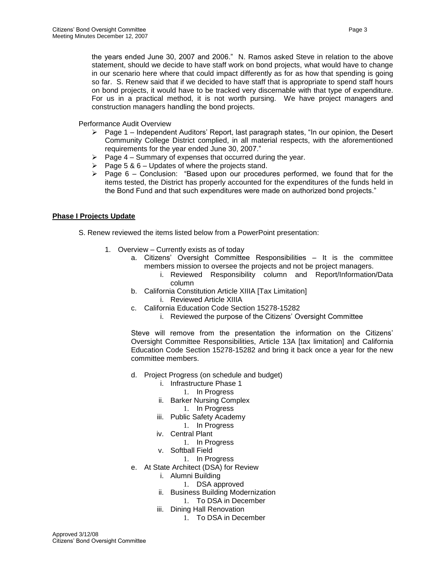the years ended June 30, 2007 and 2006." N. Ramos asked Steve in relation to the above statement, should we decide to have staff work on bond projects, what would have to change in our scenario here where that could impact differently as for as how that spending is going so far. S. Renew said that if we decided to have staff that is appropriate to spend staff hours on bond projects, it would have to be tracked very discernable with that type of expenditure. For us in a practical method, it is not worth pursing. We have project managers and construction managers handling the bond projects.

Performance Audit Overview

- $\triangleright$  Page 1 Independent Auditors' Report, last paragraph states, "In our opinion, the Desert Community College District complied, in all material respects, with the aforementioned requirements for the year ended June 30, 2007."
- **▶ Page 4 Summary of expenses that occurred during the year.** <br>▶ Page 5 & 6 Updates of where the projects stand.
- Page 5 & 6 Updates of where the projects stand.
- $\triangleright$  Page 6 Conclusion: "Based upon our procedures performed, we found that for the items tested, the District has properly accounted for the expenditures of the funds held in the Bond Fund and that such expenditures were made on authorized bond projects."

# **Phase I Projects Update**

- S. Renew reviewed the items listed below from a PowerPoint presentation:
	- 1. Overview Currently exists as of today
		- a. Citizens' Oversight Committee Responsibilities It is the committee members mission to oversee the projects and not be project managers.
			- i. Reviewed Responsibility column and Report/Information/Data column
		- b. California Constitution Article XIIIA [Tax Limitation] i. Reviewed Article XIIIA
		- c. California Education Code Section 15278-15282
			- i. Reviewed the purpose of the Citizens' Oversight Committee

Steve will remove from the presentation the information on the Citizens' Oversight Committee Responsibilities, Article 13A [tax limitation] and California Education Code Section 15278-15282 and bring it back once a year for the new committee members.

- d. Project Progress (on schedule and budget)
	- i. Infrastructure Phase 1
		- 1. In Progress
	- ii. Barker Nursing Complex
		- 1. In Progress
	- iii. Public Safety Academy 1. In Progress
	- iv. Central Plant
		- 1. In Progress
	- v. Softball Field
		- 1. In Progress
- e. At State Architect (DSA) for Review
	- i. Alumni Building
		- 1. DSA approved
	- ii. Business Building Modernization
	- 1. To DSA in December
	- iii. Dining Hall Renovation
		- 1. To DSA in December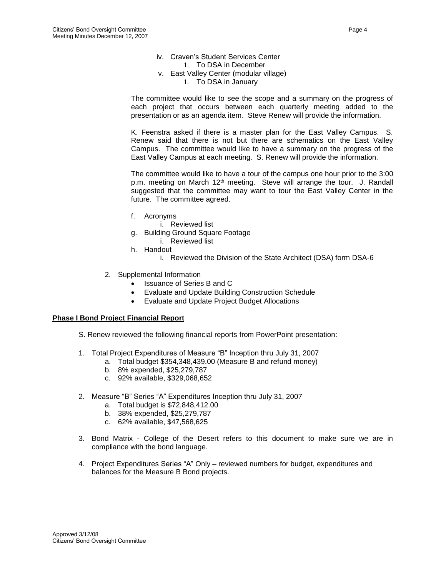- iv. Craven's Student Services Center
	- 1. To DSA in December
- v. East Valley Center (modular village)
	- 1. To DSA in January

The committee would like to see the scope and a summary on the progress of each project that occurs between each quarterly meeting added to the presentation or as an agenda item. Steve Renew will provide the information.

K. Feenstra asked if there is a master plan for the East Valley Campus. S. Renew said that there is not but there are schematics on the East Valley Campus. The committee would like to have a summary on the progress of the East Valley Campus at each meeting. S. Renew will provide the information.

The committee would like to have a tour of the campus one hour prior to the 3:00 p.m. meeting on March  $12<sup>th</sup>$  meeting. Steve will arrange the tour. J. Randall suggested that the committee may want to tour the East Valley Center in the future. The committee agreed.

- f. Acronyms
	- i. Reviewed list
- g. Building Ground Square Footage
	- i. Reviewed list
- h. Handout
	- i. Reviewed the Division of the State Architect (DSA) form DSA-6
- 2. Supplemental Information
	- Issuance of Series B and C
	- Evaluate and Update Building Construction Schedule
	- Evaluate and Update Project Budget Allocations

#### **Phase I Bond Project Financial Report**

- S. Renew reviewed the following financial reports from PowerPoint presentation:
- 1. Total Project Expenditures of Measure "B" Inception thru July 31, 2007
	- a. Total budget \$354,348,439.00 (Measure B and refund money)
	- b. 8% expended, \$25,279,787
	- c. 92% available, \$329,068,652
- 2. Measure "B" Series "A" Expenditures Inception thru July 31, 2007
	- a. Total budget is \$72,848,412.00
	- b. 38% expended, \$25,279,787
	- c. 62% available, \$47,568,625
- 3. Bond Matrix College of the Desert refers to this document to make sure we are in compliance with the bond language.
- 4. Project Expenditures Series "A" Only reviewed numbers for budget, expenditures and balances for the Measure B Bond projects.